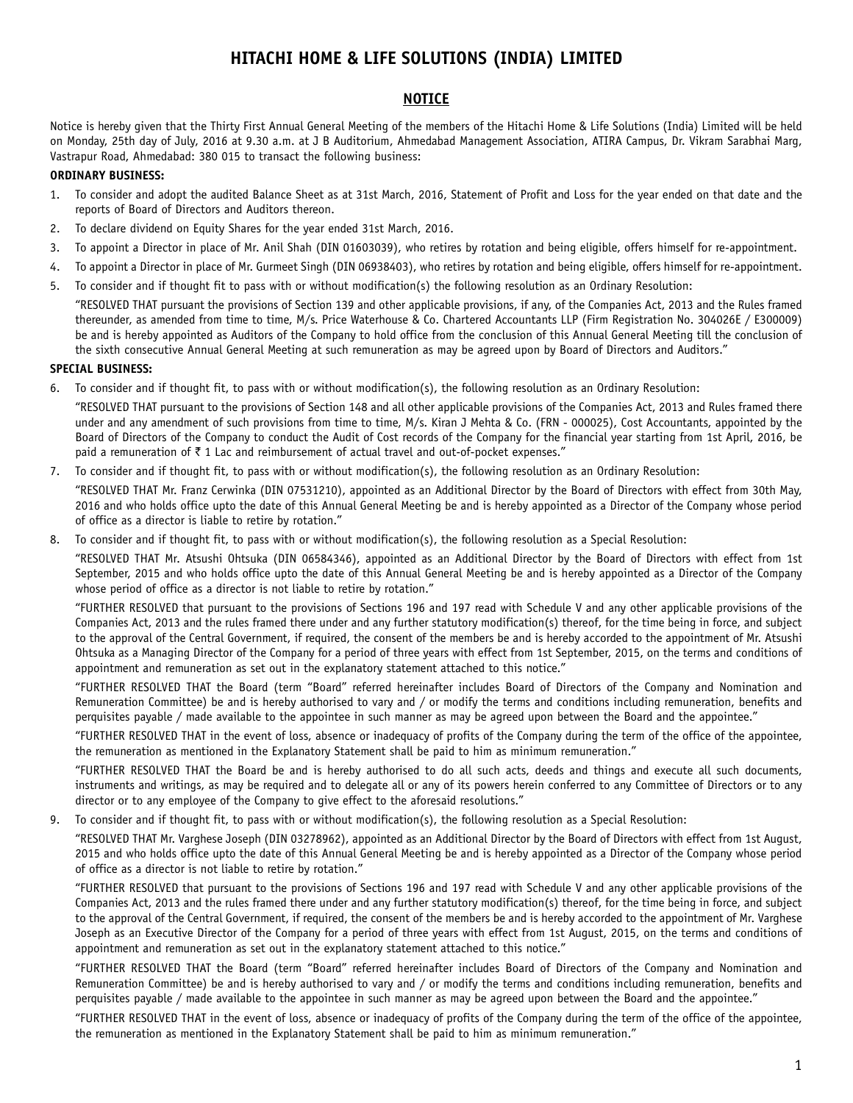# **HITACHI HOME & LIFE SOLUTIONS (INDIA) LIMITED**

# **NOTICE**

Notice is hereby given that the Thirty First Annual General Meeting of the members of the Hitachi Home & Life Solutions (India) Limited will be held on Monday, 25th day of July, 2016 at 9.30 a.m. at J B Auditorium, Ahmedabad Management Association, ATIRA Campus, Dr. Vikram Sarabhai Marg, Vastrapur Road, Ahmedabad: 380 015 to transact the following business:

#### **ORDINARY BUSINESS:**

- 1. To consider and adopt the audited Balance Sheet as at 31st March, 2016, Statement of Profit and Loss for the year ended on that date and the reports of Board of Directors and Auditors thereon.
- 2. To declare dividend on Equity Shares for the year ended 31st March, 2016.
- 3. To appoint a Director in place of Mr. Anil Shah (DIN 01603039), who retires by rotation and being eligible, offers himself for re-appointment.
- 4. To appoint a Director in place of Mr. Gurmeet Singh (DIN 06938403), who retires by rotation and being eligible, offers himself for re-appointment.
- 5. To consider and if thought fit to pass with or without modification(s) the following resolution as an Ordinary Resolution:

"RESOLVED THAT pursuant the provisions of Section 139 and other applicable provisions, if any, of the Companies Act, 2013 and the Rules framed thereunder, as amended from time to time, M/s. Price Waterhouse & Co. Chartered Accountants LLP (Firm Registration No. 304026E / E300009) be and is hereby appointed as Auditors of the Company to hold office from the conclusion of this Annual General Meeting till the conclusion of the sixth consecutive Annual General Meeting at such remuneration as may be agreed upon by Board of Directors and Auditors."

#### **SPECIAL BUSINESS:**

6. To consider and if thought fit, to pass with or without modification(s), the following resolution as an Ordinary Resolution:

"RESOLVED THAT pursuant to the provisions of Section 148 and all other applicable provisions of the Companies Act, 2013 and Rules framed there under and any amendment of such provisions from time to time, M/s. Kiran J Mehta & Co. (FRN - 000025), Cost Accountants, appointed by the Board of Directors of the Company to conduct the Audit of Cost records of the Company for the financial year starting from 1st April, 2016, be paid a remuneration of  $\bar{\tau}$  1 Lac and reimbursement of actual travel and out-of-pocket expenses."

7. To consider and if thought fit, to pass with or without modification(s), the following resolution as an Ordinary Resolution:

"RESOLVED THAT Mr. Franz Cerwinka (DIN 07531210), appointed as an Additional Director by the Board of Directors with effect from 30th May, 2016 and who holds office upto the date of this Annual General Meeting be and is hereby appointed as a Director of the Company whose period of office as a director is liable to retire by rotation."

8. To consider and if thought fit, to pass with or without modification(s), the following resolution as a Special Resolution:

"RESOLVED THAT Mr. Atsushi Ohtsuka (DIN 06584346), appointed as an Additional Director by the Board of Directors with effect from 1st September, 2015 and who holds office upto the date of this Annual General Meeting be and is hereby appointed as a Director of the Company whose period of office as a director is not liable to retire by rotation."

"FURTHER RESOLVED that pursuant to the provisions of Sections 196 and 197 read with Schedule V and any other applicable provisions of the Companies Act, 2013 and the rules framed there under and any further statutory modification(s) thereof, for the time being in force, and subject to the approval of the Central Government, if required, the consent of the members be and is hereby accorded to the appointment of Mr. Atsushi Ohtsuka as a Managing Director of the Company for a period of three years with effect from 1st September, 2015, on the terms and conditions of appointment and remuneration as set out in the explanatory statement attached to this notice."

"FURTHER RESOLVED THAT the Board (term "Board" referred hereinafter includes Board of Directors of the Company and Nomination and Remuneration Committee) be and is hereby authorised to vary and / or modify the terms and conditions including remuneration, benefits and perquisites payable / made available to the appointee in such manner as may be agreed upon between the Board and the appointee."

"FURTHER RESOLVED THAT in the event of loss, absence or inadequacy of profits of the Company during the term of the office of the appointee, the remuneration as mentioned in the Explanatory Statement shall be paid to him as minimum remuneration."

"FURTHER RESOLVED THAT the Board be and is hereby authorised to do all such acts, deeds and things and execute all such documents, instruments and writings, as may be required and to delegate all or any of its powers herein conferred to any Committee of Directors or to any director or to any employee of the Company to give effect to the aforesaid resolutions."

9. To consider and if thought fit, to pass with or without modification(s), the following resolution as a Special Resolution:

"RESOLVED THAT Mr. Varghese Joseph (DIN 03278962), appointed as an Additional Director by the Board of Directors with effect from 1st August, 2015 and who holds office upto the date of this Annual General Meeting be and is hereby appointed as a Director of the Company whose period of office as a director is not liable to retire by rotation."

"FURTHER RESOLVED that pursuant to the provisions of Sections 196 and 197 read with Schedule V and any other applicable provisions of the Companies Act, 2013 and the rules framed there under and any further statutory modification(s) thereof, for the time being in force, and subject to the approval of the Central Government, if required, the consent of the members be and is hereby accorded to the appointment of Mr. Varghese Joseph as an Executive Director of the Company for a period of three years with effect from 1st August, 2015, on the terms and conditions of appointment and remuneration as set out in the explanatory statement attached to this notice."

"FURTHER RESOLVED THAT the Board (term "Board" referred hereinafter includes Board of Directors of the Company and Nomination and Remuneration Committee) be and is hereby authorised to vary and / or modify the terms and conditions including remuneration, benefits and perquisites payable / made available to the appointee in such manner as may be agreed upon between the Board and the appointee."

"FURTHER RESOLVED THAT in the event of loss, absence or inadequacy of profits of the Company during the term of the office of the appointee, the remuneration as mentioned in the Explanatory Statement shall be paid to him as minimum remuneration."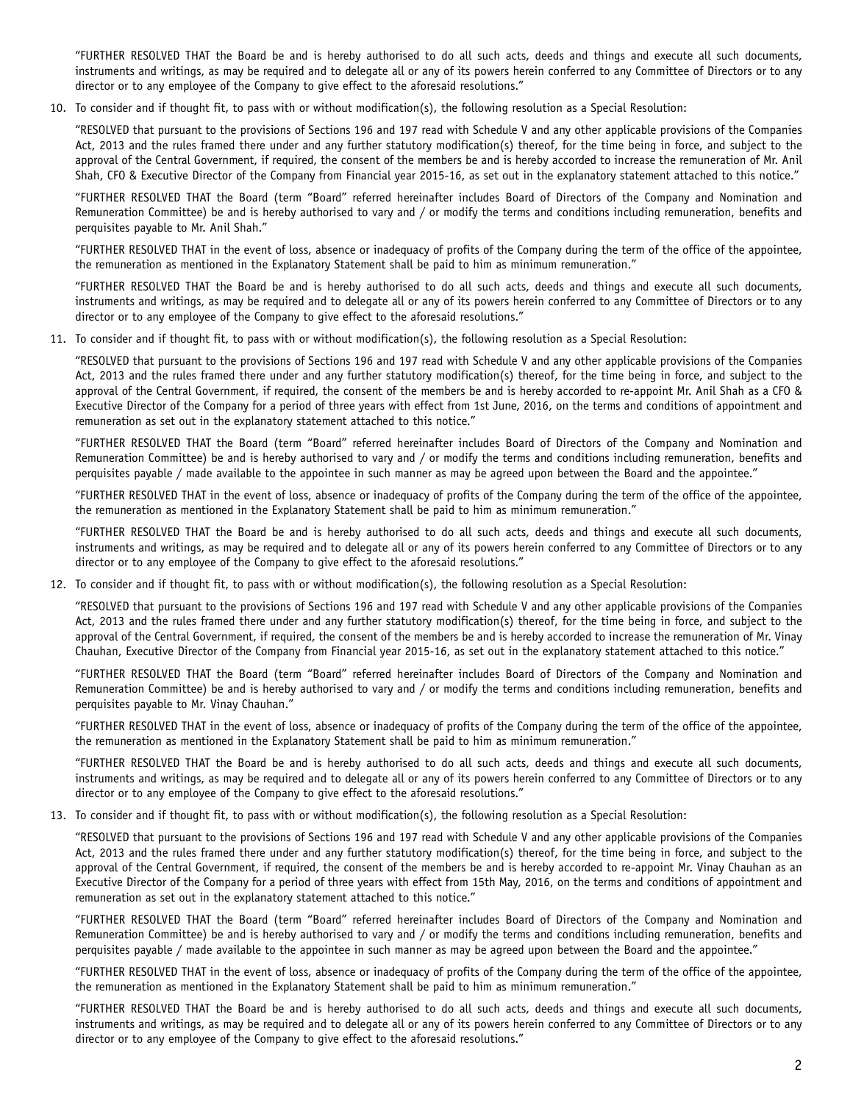"FURTHER RESOLVED THAT the Board be and is hereby authorised to do all such acts, deeds and things and execute all such documents, instruments and writings, as may be required and to delegate all or any of its powers herein conferred to any Committee of Directors or to any director or to any employee of the Company to give effect to the aforesaid resolutions."

10. To consider and if thought fit, to pass with or without modification(s), the following resolution as a Special Resolution:

"RESOLVED that pursuant to the provisions of Sections 196 and 197 read with Schedule V and any other applicable provisions of the Companies Act, 2013 and the rules framed there under and any further statutory modification(s) thereof, for the time being in force, and subject to the approval of the Central Government, if required, the consent of the members be and is hereby accorded to increase the remuneration of Mr. Anil Shah, CFO & Executive Director of the Company from Financial year 2015-16, as set out in the explanatory statement attached to this notice."

"FURTHER RESOLVED THAT the Board (term "Board" referred hereinafter includes Board of Directors of the Company and Nomination and Remuneration Committee) be and is hereby authorised to vary and / or modify the terms and conditions including remuneration, benefits and perquisites payable to Mr. Anil Shah."

"FURTHER RESOLVED THAT in the event of loss, absence or inadequacy of profits of the Company during the term of the office of the appointee, the remuneration as mentioned in the Explanatory Statement shall be paid to him as minimum remuneration."

"FURTHER RESOLVED THAT the Board be and is hereby authorised to do all such acts, deeds and things and execute all such documents, instruments and writings, as may be required and to delegate all or any of its powers herein conferred to any Committee of Directors or to any director or to any employee of the Company to give effect to the aforesaid resolutions."

11. To consider and if thought fit, to pass with or without modification(s), the following resolution as a Special Resolution:

"RESOLVED that pursuant to the provisions of Sections 196 and 197 read with Schedule V and any other applicable provisions of the Companies Act, 2013 and the rules framed there under and any further statutory modification(s) thereof, for the time being in force, and subject to the approval of the Central Government, if required, the consent of the members be and is hereby accorded to re-appoint Mr. Anil Shah as a CFO & Executive Director of the Company for a period of three years with effect from 1st June, 2016, on the terms and conditions of appointment and remuneration as set out in the explanatory statement attached to this notice."

"FURTHER RESOLVED THAT the Board (term "Board" referred hereinafter includes Board of Directors of the Company and Nomination and Remuneration Committee) be and is hereby authorised to vary and / or modify the terms and conditions including remuneration, benefits and perquisites payable / made available to the appointee in such manner as may be agreed upon between the Board and the appointee."

"FURTHER RESOLVED THAT in the event of loss, absence or inadequacy of profits of the Company during the term of the office of the appointee, the remuneration as mentioned in the Explanatory Statement shall be paid to him as minimum remuneration."

"FURTHER RESOLVED THAT the Board be and is hereby authorised to do all such acts, deeds and things and execute all such documents, instruments and writings, as may be required and to delegate all or any of its powers herein conferred to any Committee of Directors or to any director or to any employee of the Company to give effect to the aforesaid resolutions."

12. To consider and if thought fit, to pass with or without modification(s), the following resolution as a Special Resolution:

"RESOLVED that pursuant to the provisions of Sections 196 and 197 read with Schedule V and any other applicable provisions of the Companies Act, 2013 and the rules framed there under and any further statutory modification(s) thereof, for the time being in force, and subject to the approval of the Central Government, if required, the consent of the members be and is hereby accorded to increase the remuneration of Mr. Vinay Chauhan, Executive Director of the Company from Financial year 2015-16, as set out in the explanatory statement attached to this notice."

"FURTHER RESOLVED THAT the Board (term "Board" referred hereinafter includes Board of Directors of the Company and Nomination and Remuneration Committee) be and is hereby authorised to vary and / or modify the terms and conditions including remuneration, benefits and perquisites payable to Mr. Vinay Chauhan."

"FURTHER RESOLVED THAT in the event of loss, absence or inadequacy of profits of the Company during the term of the office of the appointee, the remuneration as mentioned in the Explanatory Statement shall be paid to him as minimum remuneration."

"FURTHER RESOLVED THAT the Board be and is hereby authorised to do all such acts, deeds and things and execute all such documents, instruments and writings, as may be required and to delegate all or any of its powers herein conferred to any Committee of Directors or to any director or to any employee of the Company to give effect to the aforesaid resolutions."

13. To consider and if thought fit, to pass with or without modification(s), the following resolution as a Special Resolution:

"RESOLVED that pursuant to the provisions of Sections 196 and 197 read with Schedule V and any other applicable provisions of the Companies Act, 2013 and the rules framed there under and any further statutory modification(s) thereof, for the time being in force, and subject to the approval of the Central Government, if required, the consent of the members be and is hereby accorded to re-appoint Mr. Vinay Chauhan as an Executive Director of the Company for a period of three years with effect from 15th May, 2016, on the terms and conditions of appointment and remuneration as set out in the explanatory statement attached to this notice."

"FURTHER RESOLVED THAT the Board (term "Board" referred hereinafter includes Board of Directors of the Company and Nomination and Remuneration Committee) be and is hereby authorised to vary and / or modify the terms and conditions including remuneration, benefits and perquisites payable / made available to the appointee in such manner as may be agreed upon between the Board and the appointee."

"FURTHER RESOLVED THAT in the event of loss, absence or inadequacy of profits of the Company during the term of the office of the appointee, the remuneration as mentioned in the Explanatory Statement shall be paid to him as minimum remuneration."

"FURTHER RESOLVED THAT the Board be and is hereby authorised to do all such acts, deeds and things and execute all such documents, instruments and writings, as may be required and to delegate all or any of its powers herein conferred to any Committee of Directors or to any director or to any employee of the Company to give effect to the aforesaid resolutions."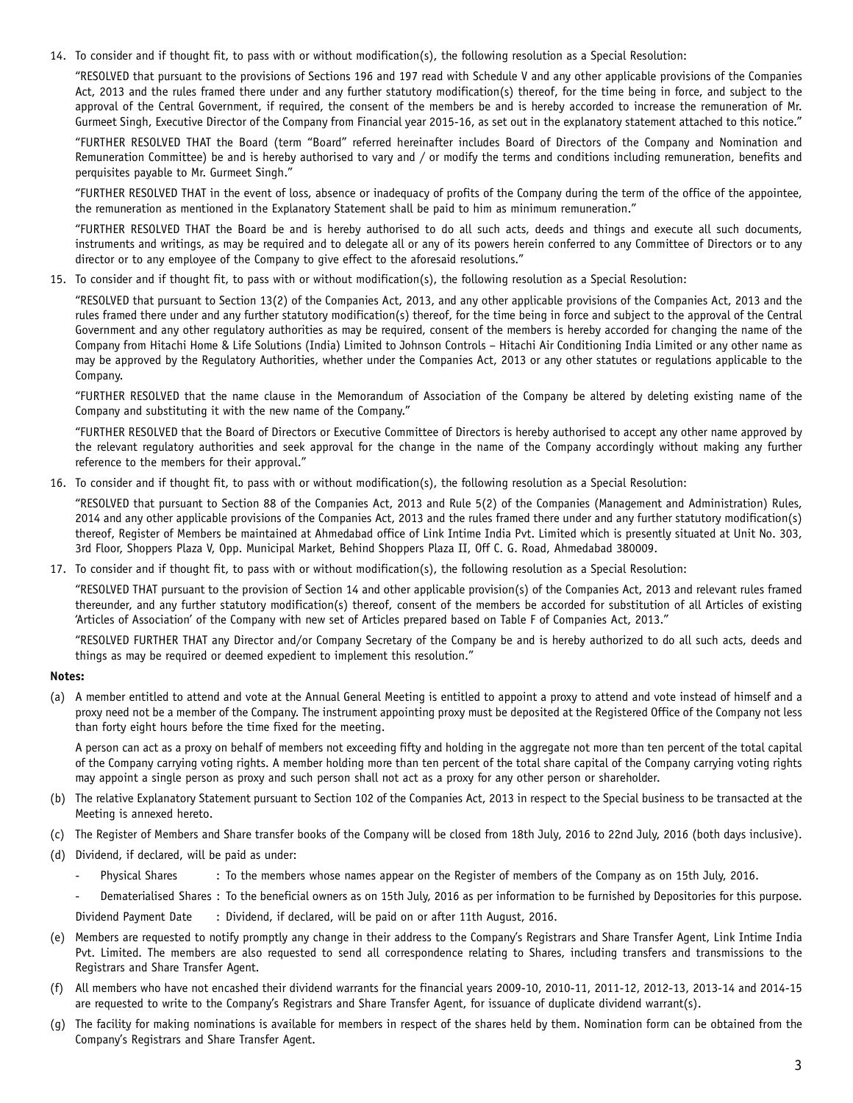14. To consider and if thought fit, to pass with or without modification(s), the following resolution as a Special Resolution:

"RESOLVED that pursuant to the provisions of Sections 196 and 197 read with Schedule V and any other applicable provisions of the Companies Act, 2013 and the rules framed there under and any further statutory modification(s) thereof, for the time being in force, and subject to the approval of the Central Government, if required, the consent of the members be and is hereby accorded to increase the remuneration of Mr. Gurmeet Singh, Executive Director of the Company from Financial year 2015-16, as set out in the explanatory statement attached to this notice."

"FURTHER RESOLVED THAT the Board (term "Board" referred hereinafter includes Board of Directors of the Company and Nomination and Remuneration Committee) be and is hereby authorised to vary and / or modify the terms and conditions including remuneration, benefits and perquisites payable to Mr. Gurmeet Singh."

"FURTHER RESOLVED THAT in the event of loss, absence or inadequacy of profits of the Company during the term of the office of the appointee, the remuneration as mentioned in the Explanatory Statement shall be paid to him as minimum remuneration."

"FURTHER RESOLVED THAT the Board be and is hereby authorised to do all such acts, deeds and things and execute all such documents, instruments and writings, as may be required and to delegate all or any of its powers herein conferred to any Committee of Directors or to any director or to any employee of the Company to give effect to the aforesaid resolutions."

15. To consider and if thought fit, to pass with or without modification(s), the following resolution as a Special Resolution:

"RESOLVED that pursuant to Section 13(2) of the Companies Act, 2013, and any other applicable provisions of the Companies Act, 2013 and the rules framed there under and any further statutory modification(s) thereof, for the time being in force and subject to the approval of the Central Government and any other regulatory authorities as may be required, consent of the members is hereby accorded for changing the name of the Company from Hitachi Home & Life Solutions (India) Limited to Johnson Controls – Hitachi Air Conditioning India Limited or any other name as may be approved by the Regulatory Authorities, whether under the Companies Act, 2013 or any other statutes or regulations applicable to the Company.

"FURTHER RESOLVED that the name clause in the Memorandum of Association of the Company be altered by deleting existing name of the Company and substituting it with the new name of the Company."

"FURTHER RESOLVED that the Board of Directors or Executive Committee of Directors is hereby authorised to accept any other name approved by the relevant regulatory authorities and seek approval for the change in the name of the Company accordingly without making any further reference to the members for their approval."

16. To consider and if thought fit, to pass with or without modification(s), the following resolution as a Special Resolution:

"RESOLVED that pursuant to Section 88 of the Companies Act, 2013 and Rule 5(2) of the Companies (Management and Administration) Rules, 2014 and any other applicable provisions of the Companies Act, 2013 and the rules framed there under and any further statutory modification(s) thereof, Register of Members be maintained at Ahmedabad office of Link Intime India Pvt. Limited which is presently situated at Unit No. 303, 3rd Floor, Shoppers Plaza V, Opp. Municipal Market, Behind Shoppers Plaza II, Off C. G. Road, Ahmedabad 380009.

17. To consider and if thought fit, to pass with or without modification(s), the following resolution as a Special Resolution:

"RESOLVED THAT pursuant to the provision of Section 14 and other applicable provision(s) of the Companies Act, 2013 and relevant rules framed thereunder, and any further statutory modification(s) thereof, consent of the members be accorded for substitution of all Articles of existing 'Articles of Association' of the Company with new set of Articles prepared based on Table F of Companies Act, 2013."

"RESOLVED FURTHER THAT any Director and/or Company Secretary of the Company be and is hereby authorized to do all such acts, deeds and things as may be required or deemed expedient to implement this resolution."

#### **Notes:**

(a) A member entitled to attend and vote at the Annual General Meeting is entitled to appoint a proxy to attend and vote instead of himself and a proxy need not be a member of the Company. The instrument appointing proxy must be deposited at the Registered Office of the Company not less than forty eight hours before the time fixed for the meeting.

A person can act as a proxy on behalf of members not exceeding fifty and holding in the aggregate not more than ten percent of the total capital of the Company carrying voting rights. A member holding more than ten percent of the total share capital of the Company carrying voting rights may appoint a single person as proxy and such person shall not act as a proxy for any other person or shareholder.

- (b) The relative Explanatory Statement pursuant to Section 102 of the Companies Act, 2013 in respect to the Special business to be transacted at the Meeting is annexed hereto.
- (c) The Register of Members and Share transfer books of the Company will be closed from 18th July, 2016 to 22nd July, 2016 (both days inclusive).
- (d) Dividend, if declared, will be paid as under:
	- Physical Shares : To the members whose names appear on the Register of members of the Company as on 15th July, 2016.
	- Dematerialised Shares : To the beneficial owners as on 15th July, 2016 as per information to be furnished by Depositories for this purpose.
	- Dividend Payment Date : Dividend, if declared, will be paid on or after 11th August, 2016.
- (e) Members are requested to notify promptly any change in their address to the Company's Registrars and Share Transfer Agent, Link Intime India Pvt. Limited. The members are also requested to send all correspondence relating to Shares, including transfers and transmissions to the Registrars and Share Transfer Agent.
- (f) All members who have not encashed their dividend warrants for the financial years 2009-10, 2010-11, 2011-12, 2012-13, 2013-14 and 2014-15 are requested to write to the Company's Registrars and Share Transfer Agent, for issuance of duplicate dividend warrant(s).
- (g) The facility for making nominations is available for members in respect of the shares held by them. Nomination form can be obtained from the Company's Registrars and Share Transfer Agent.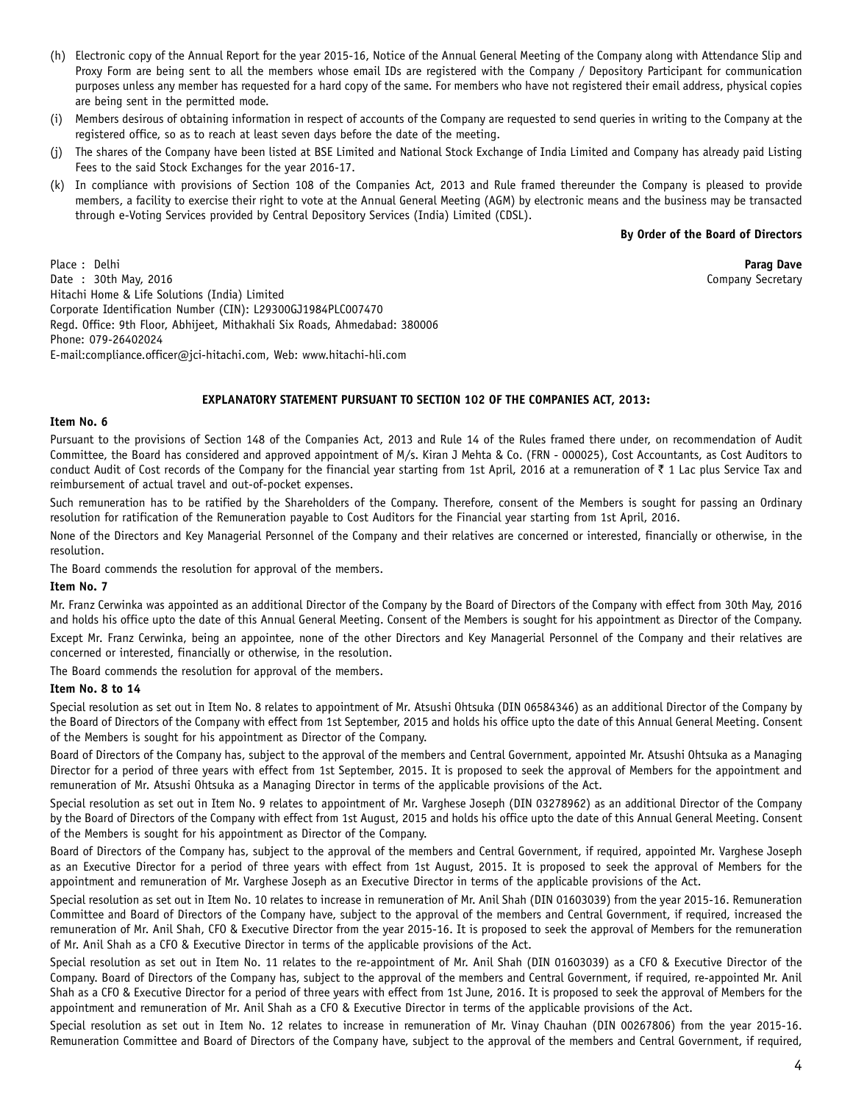- (h) Electronic copy of the Annual Report for the year 2015-16, Notice of the Annual General Meeting of the Company along with Attendance Slip and Proxy Form are being sent to all the members whose email IDs are registered with the Company / Depository Participant for communication purposes unless any member has requested for a hard copy of the same. For members who have not registered their email address, physical copies are being sent in the permitted mode.
- (i) Members desirous of obtaining information in respect of accounts of the Company are requested to send queries in writing to the Company at the registered office, so as to reach at least seven days before the date of the meeting.
- (j) The shares of the Company have been listed at BSE Limited and National Stock Exchange of India Limited and Company has already paid Listing Fees to the said Stock Exchanges for the year 2016-17.
- (k) In compliance with provisions of Section 108 of the Companies Act, 2013 and Rule framed thereunder the Company is pleased to provide members, a facility to exercise their right to vote at the Annual General Meeting (AGM) by electronic means and the business may be transacted through e-Voting Services provided by Central Depository Services (India) Limited (CDSL).

#### **By Order of the Board of Directors**

Place : Delhi **Parag Dave** Date : 30th May, 2016 Company Secretary Hitachi Home & Life Solutions (India) Limited Corporate Identification Number (CIN): L29300GJ1984PLC007470 Regd. Office: 9th Floor, Abhijeet, Mithakhali Six Roads, Ahmedabad: 380006 Phone: 079-26402024 E-mail:compliance.officer@jci-hitachi.com, Web: www.hitachi-hli.com

#### **EXPLANATORY STATEMENT PURSUANT TO SECTION 102 OF THE COMPANIES ACT, 2013:**

#### **Item No. 6**

Pursuant to the provisions of Section 148 of the Companies Act, 2013 and Rule 14 of the Rules framed there under, on recommendation of Audit Committee, the Board has considered and approved appointment of M/s. Kiran J Mehta & Co. (FRN - 000025), Cost Accountants, as Cost Auditors to conduct Audit of Cost records of the Company for the financial year starting from 1st April, 2016 at a remuneration of  $\bar{\tau}$  1 Lac plus Service Tax and reimbursement of actual travel and out-of-pocket expenses.

Such remuneration has to be ratified by the Shareholders of the Company. Therefore, consent of the Members is sought for passing an Ordinary resolution for ratification of the Remuneration payable to Cost Auditors for the Financial year starting from 1st April, 2016.

None of the Directors and Key Managerial Personnel of the Company and their relatives are concerned or interested, financially or otherwise, in the resolution.

The Board commends the resolution for approval of the members.

#### **Item No. 7**

Mr. Franz Cerwinka was appointed as an additional Director of the Company by the Board of Directors of the Company with effect from 30th May, 2016 and holds his office upto the date of this Annual General Meeting. Consent of the Members is sought for his appointment as Director of the Company.

Except Mr. Franz Cerwinka, being an appointee, none of the other Directors and Key Managerial Personnel of the Company and their relatives are concerned or interested, financially or otherwise, in the resolution.

The Board commends the resolution for approval of the members.

#### **Item No. 8 to 14**

Special resolution as set out in Item No. 8 relates to appointment of Mr. Atsushi Ohtsuka (DIN 06584346) as an additional Director of the Company by the Board of Directors of the Company with effect from 1st September, 2015 and holds his office upto the date of this Annual General Meeting. Consent of the Members is sought for his appointment as Director of the Company.

Board of Directors of the Company has, subject to the approval of the members and Central Government, appointed Mr. Atsushi Ohtsuka as a Managing Director for a period of three years with effect from 1st September, 2015. It is proposed to seek the approval of Members for the appointment and remuneration of Mr. Atsushi Ohtsuka as a Managing Director in terms of the applicable provisions of the Act.

Special resolution as set out in Item No. 9 relates to appointment of Mr. Varghese Joseph (DIN 03278962) as an additional Director of the Company by the Board of Directors of the Company with effect from 1st August, 2015 and holds his office upto the date of this Annual General Meeting. Consent of the Members is sought for his appointment as Director of the Company.

Board of Directors of the Company has, subject to the approval of the members and Central Government, if required, appointed Mr. Varghese Joseph as an Executive Director for a period of three years with effect from 1st August, 2015. It is proposed to seek the approval of Members for the appointment and remuneration of Mr. Varghese Joseph as an Executive Director in terms of the applicable provisions of the Act.

Special resolution as set out in Item No. 10 relates to increase in remuneration of Mr. Anil Shah (DIN 01603039) from the year 2015-16. Remuneration Committee and Board of Directors of the Company have, subject to the approval of the members and Central Government, if required, increased the remuneration of Mr. Anil Shah, CFO & Executive Director from the year 2015-16. It is proposed to seek the approval of Members for the remuneration of Mr. Anil Shah as a CFO & Executive Director in terms of the applicable provisions of the Act.

Special resolution as set out in Item No. 11 relates to the re-appointment of Mr. Anil Shah (DIN 01603039) as a CFO & Executive Director of the Company. Board of Directors of the Company has, subject to the approval of the members and Central Government, if required, re-appointed Mr. Anil Shah as a CFO & Executive Director for a period of three years with effect from 1st June, 2016. It is proposed to seek the approval of Members for the appointment and remuneration of Mr. Anil Shah as a CFO & Executive Director in terms of the applicable provisions of the Act.

Special resolution as set out in Item No. 12 relates to increase in remuneration of Mr. Vinay Chauhan (DIN 00267806) from the year 2015-16. Remuneration Committee and Board of Directors of the Company have, subject to the approval of the members and Central Government, if required,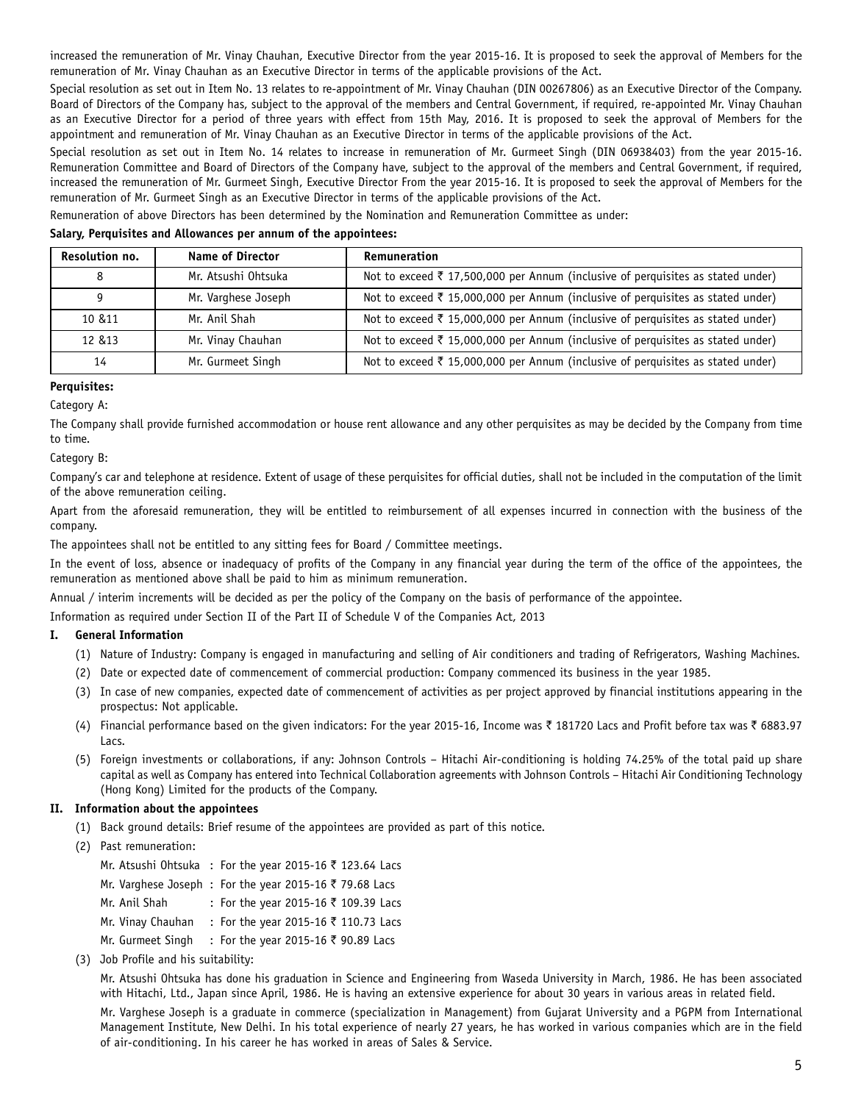increased the remuneration of Mr. Vinay Chauhan, Executive Director from the year 2015-16. It is proposed to seek the approval of Members for the remuneration of Mr. Vinay Chauhan as an Executive Director in terms of the applicable provisions of the Act.

Special resolution as set out in Item No. 13 relates to re-appointment of Mr. Vinay Chauhan (DIN 00267806) as an Executive Director of the Company. Board of Directors of the Company has, subject to the approval of the members and Central Government, if required, re-appointed Mr. Vinay Chauhan as an Executive Director for a period of three years with effect from 15th May, 2016. It is proposed to seek the approval of Members for the appointment and remuneration of Mr. Vinay Chauhan as an Executive Director in terms of the applicable provisions of the Act.

Special resolution as set out in Item No. 14 relates to increase in remuneration of Mr. Gurmeet Singh (DIN 06938403) from the year 2015-16. Remuneration Committee and Board of Directors of the Company have, subject to the approval of the members and Central Government, if required, increased the remuneration of Mr. Gurmeet Singh, Executive Director From the year 2015-16. It is proposed to seek the approval of Members for the remuneration of Mr. Gurmeet Singh as an Executive Director in terms of the applicable provisions of the Act.

Remuneration of above Directors has been determined by the Nomination and Remuneration Committee as under:

#### **Salary, Perquisites and Allowances per annum of the appointees:**

| Resolution no. | <b>Name of Director</b> | Remuneration                                                                               |
|----------------|-------------------------|--------------------------------------------------------------------------------------------|
|                | Mr. Atsushi Ohtsuka     | Not to exceed $\bar{\tau}$ 17,500,000 per Annum (inclusive of perquisites as stated under) |
|                | Mr. Varghese Joseph     | Not to exceed ₹ 15,000,000 per Annum (inclusive of perquisites as stated under)            |
| 10 & 11        | Mr. Anil Shah           | Not to exceed ₹ 15,000,000 per Annum (inclusive of perquisites as stated under)            |
| 12 & 13        | Mr. Vinay Chauhan       | Not to exceed ₹ 15,000,000 per Annum (inclusive of perquisites as stated under)            |
| 14             | Mr. Gurmeet Singh       | Not to exceed ₹ 15,000,000 per Annum (inclusive of perquisites as stated under)            |

#### **Perquisites:**

## Category A:

The Company shall provide furnished accommodation or house rent allowance and any other perquisites as may be decided by the Company from time to time.

Category B:

Company's car and telephone at residence. Extent of usage of these perquisites for official duties, shall not be included in the computation of the limit of the above remuneration ceiling.

Apart from the aforesaid remuneration, they will be entitled to reimbursement of all expenses incurred in connection with the business of the company.

The appointees shall not be entitled to any sitting fees for Board / Committee meetings.

In the event of loss, absence or inadequacy of profits of the Company in any financial year during the term of the office of the appointees, the remuneration as mentioned above shall be paid to him as minimum remuneration.

Annual / interim increments will be decided as per the policy of the Company on the basis of performance of the appointee.

Information as required under Section II of the Part II of Schedule V of the Companies Act, 2013

## **I. General Information**

- (1) Nature of Industry: Company is engaged in manufacturing and selling of Air conditioners and trading of Refrigerators, Washing Machines.
- (2) Date or expected date of commencement of commercial production: Company commenced its business in the year 1985.
- (3) In case of new companies, expected date of commencement of activities as per project approved by financial institutions appearing in the prospectus: Not applicable.
- (4) Financial performance based on the given indicators: For the year 2015-16, Income was ₹ 181720 Lacs and Profit before tax was ₹ 6883.97 Lacs.
- (5) Foreign investments or collaborations, if any: Johnson Controls Hitachi Air-conditioning is holding 74.25% of the total paid up share capital as well as Company has entered into Technical Collaboration agreements with Johnson Controls – Hitachi Air Conditioning Technology (Hong Kong) Limited for the products of the Company.

## **II. Information about the appointees**

- (1) Back ground details: Brief resume of the appointees are provided as part of this notice.
- (2) Past remuneration:
	- Mr. Atsushi Ohtsuka : For the year 2015-16  $\bar{\tau}$  123.64 Lacs
	- Mr. Varghese Joseph : For the year 2015-16  $\bar{\tau}$  79.68 Lacs
	- Mr. Anil Shah : For the year 2015-16  $\bar{\tau}$  109.39 Lacs
	- Mr. Vinay Chauhan : For the year 2015-16  $\bar{\tau}$  110.73 Lacs
	- Mr. Gurmeet Singh : For the year 2015-16 ₹ 90.89 Lacs
- (3) Job Profile and his suitability:

Mr. Atsushi Ohtsuka has done his graduation in Science and Engineering from Waseda University in March, 1986. He has been associated with Hitachi, Ltd., Japan since April, 1986. He is having an extensive experience for about 30 years in various areas in related field.

Mr. Varghese Joseph is a graduate in commerce (specialization in Management) from Gujarat University and a PGPM from International Management Institute, New Delhi. In his total experience of nearly 27 years, he has worked in various companies which are in the field of air-conditioning. In his career he has worked in areas of Sales & Service.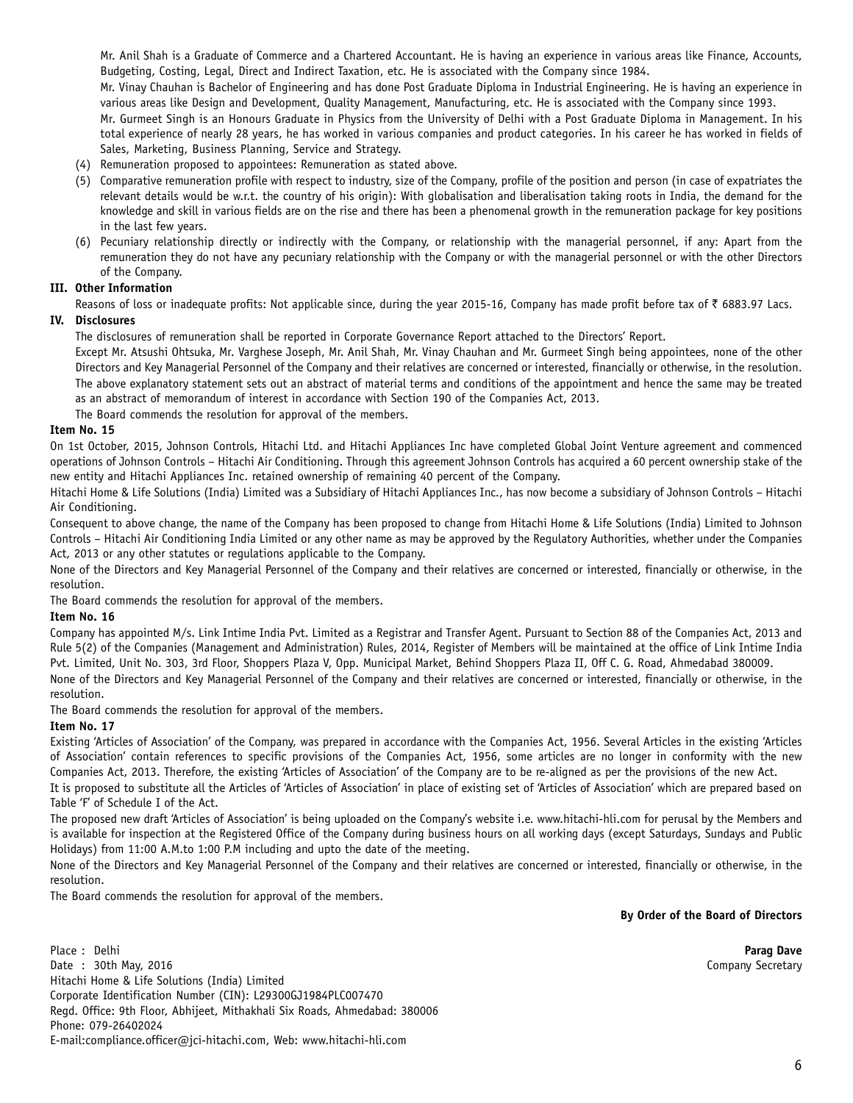Mr. Anil Shah is a Graduate of Commerce and a Chartered Accountant. He is having an experience in various areas like Finance, Accounts, Budgeting, Costing, Legal, Direct and Indirect Taxation, etc. He is associated with the Company since 1984.

Mr. Vinay Chauhan is Bachelor of Engineering and has done Post Graduate Diploma in Industrial Engineering. He is having an experience in various areas like Design and Development, Quality Management, Manufacturing, etc. He is associated with the Company since 1993.

Mr. Gurmeet Singh is an Honours Graduate in Physics from the University of Delhi with a Post Graduate Diploma in Management. In his total experience of nearly 28 years, he has worked in various companies and product categories. In his career he has worked in fields of Sales, Marketing, Business Planning, Service and Strategy.

- (4) Remuneration proposed to appointees: Remuneration as stated above.
- (5) Comparative remuneration profile with respect to industry, size of the Company, profile of the position and person (in case of expatriates the relevant details would be w.r.t. the country of his origin): With globalisation and liberalisation taking roots in India, the demand for the knowledge and skill in various fields are on the rise and there has been a phenomenal growth in the remuneration package for key positions in the last few years.
- (6) Pecuniary relationship directly or indirectly with the Company, or relationship with the managerial personnel, if any: Apart from the remuneration they do not have any pecuniary relationship with the Company or with the managerial personnel or with the other Directors of the Company.

## **III. Other Information**

Reasons of loss or inadequate profits: Not applicable since, during the year 2015-16, Company has made profit before tax of  $\bar{\tau}$  6883.97 Lacs.

## **IV. Disclosures**

The disclosures of remuneration shall be reported in Corporate Governance Report attached to the Directors' Report.

Except Mr. Atsushi Ohtsuka, Mr. Varghese Joseph, Mr. Anil Shah, Mr. Vinay Chauhan and Mr. Gurmeet Singh being appointees, none of the other Directors and Key Managerial Personnel of the Company and their relatives are concerned or interested, financially or otherwise, in the resolution. The above explanatory statement sets out an abstract of material terms and conditions of the appointment and hence the same may be treated as an abstract of memorandum of interest in accordance with Section 190 of the Companies Act, 2013.

The Board commends the resolution for approval of the members.

#### **Item No. 15**

On 1st October, 2015, Johnson Controls, Hitachi Ltd. and Hitachi Appliances Inc have completed Global Joint Venture agreement and commenced operations of Johnson Controls – Hitachi Air Conditioning. Through this agreement Johnson Controls has acquired a 60 percent ownership stake of the new entity and Hitachi Appliances Inc. retained ownership of remaining 40 percent of the Company.

Hitachi Home & Life Solutions (India) Limited was a Subsidiary of Hitachi Appliances Inc., has now become a subsidiary of Johnson Controls – Hitachi Air Conditioning.

Consequent to above change, the name of the Company has been proposed to change from Hitachi Home & Life Solutions (India) Limited to Johnson Controls – Hitachi Air Conditioning India Limited or any other name as may be approved by the Regulatory Authorities, whether under the Companies Act, 2013 or any other statutes or regulations applicable to the Company.

None of the Directors and Key Managerial Personnel of the Company and their relatives are concerned or interested, financially or otherwise, in the resolution.

The Board commends the resolution for approval of the members.

#### **Item No. 16**

Company has appointed M/s. Link Intime India Pvt. Limited as a Registrar and Transfer Agent. Pursuant to Section 88 of the Companies Act, 2013 and Rule 5(2) of the Companies (Management and Administration) Rules, 2014, Register of Members will be maintained at the office of Link Intime India Pvt. Limited, Unit No. 303, 3rd Floor, Shoppers Plaza V, Opp. Municipal Market, Behind Shoppers Plaza II, Off C. G. Road, Ahmedabad 380009. None of the Directors and Key Managerial Personnel of the Company and their relatives are concerned or interested, financially or otherwise, in the resolution.

The Board commends the resolution for approval of the members.

## **Item No. 17**

Existing 'Articles of Association' of the Company, was prepared in accordance with the Companies Act, 1956. Several Articles in the existing 'Articles of Association' contain references to specific provisions of the Companies Act, 1956, some articles are no longer in conformity with the new Companies Act, 2013. Therefore, the existing 'Articles of Association' of the Company are to be re-aligned as per the provisions of the new Act.

It is proposed to substitute all the Articles of 'Articles of Association' in place of existing set of 'Articles of Association' which are prepared based on Table 'F' of Schedule I of the Act.

The proposed new draft 'Articles of Association' is being uploaded on the Company's website i.e. www.hitachi-hli.com for perusal by the Members and is available for inspection at the Registered Office of the Company during business hours on all working days (except Saturdays, Sundays and Public Holidays) from 11:00 A.M.to 1:00 P.M including and upto the date of the meeting.

None of the Directors and Key Managerial Personnel of the Company and their relatives are concerned or interested, financially or otherwise, in the resolution.

The Board commends the resolution for approval of the members.

**By Order of the Board of Directors**

Place : Delhi **Parag Dave** Date : 30th May, 2016 **Company Secretary** Company Secretary Hitachi Home & Life Solutions (India) Limited Corporate Identification Number (CIN): L29300GJ1984PLC007470 Regd. Office: 9th Floor, Abhijeet, Mithakhali Six Roads, Ahmedabad: 380006 Phone: 079-26402024 E-mail:compliance.officer@jci-hitachi.com, Web: www.hitachi-hli.com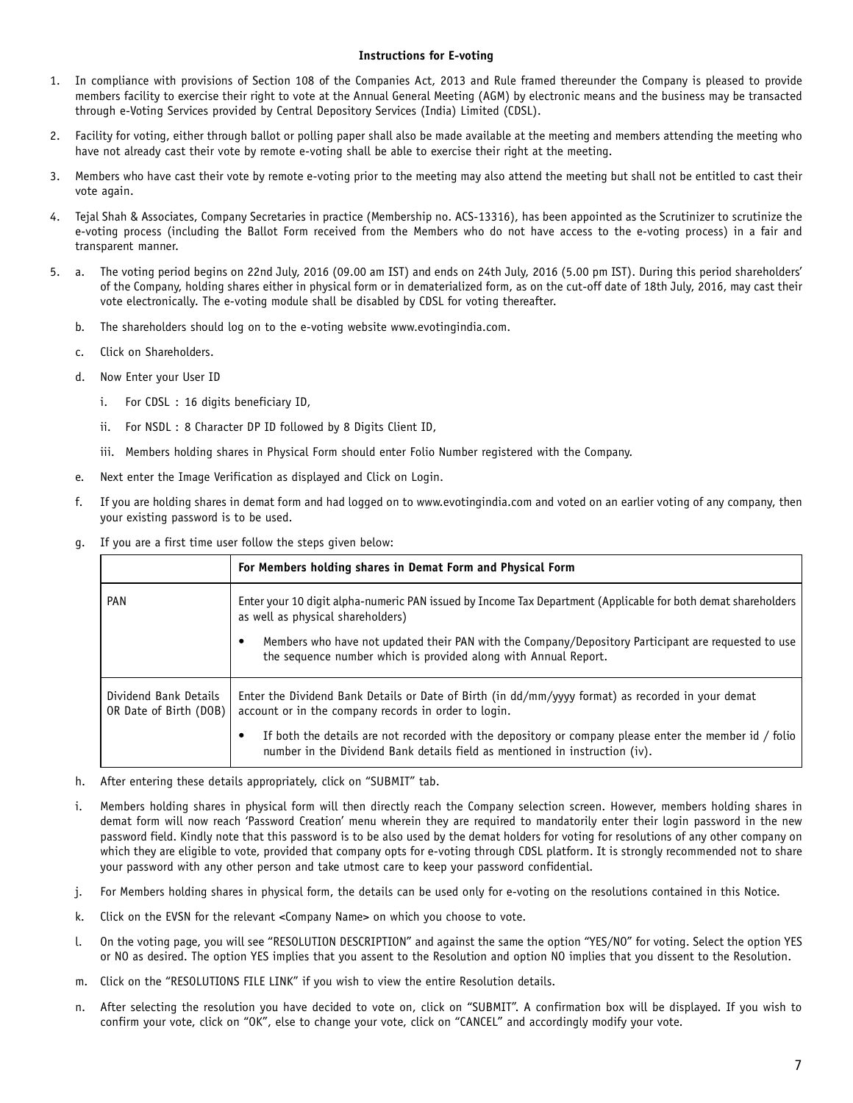#### **Instructions for E-voting**

- 1. In compliance with provisions of Section 108 of the Companies Act, 2013 and Rule framed thereunder the Company is pleased to provide members facility to exercise their right to vote at the Annual General Meeting (AGM) by electronic means and the business may be transacted through e-Voting Services provided by Central Depository Services (India) Limited (CDSL).
- 2. Facility for voting, either through ballot or polling paper shall also be made available at the meeting and members attending the meeting who have not already cast their vote by remote e-voting shall be able to exercise their right at the meeting.
- 3. Members who have cast their vote by remote e-voting prior to the meeting may also attend the meeting but shall not be entitled to cast their vote again.
- 4. Tejal Shah & Associates, Company Secretaries in practice (Membership no. ACS-13316), has been appointed as the Scrutinizer to scrutinize the e-voting process (including the Ballot Form received from the Members who do not have access to the e-voting process) in a fair and transparent manner.
- 5. a. The voting period begins on 22nd July, 2016 (09.00 am IST) and ends on 24th July, 2016 (5.00 pm IST). During this period shareholders' of the Company, holding shares either in physical form or in dematerialized form, as on the cut-off date of 18th July, 2016, may cast their vote electronically. The e-voting module shall be disabled by CDSL for voting thereafter.
	- b. The shareholders should log on to the e-voting website www.evotingindia.com.
	- c. Click on Shareholders.
	- d. Now Enter your User ID
		- i. For CDSL : 16 digits beneficiary ID,
		- ii. For NSDL : 8 Character DP ID followed by 8 Digits Client ID,
		- iii. Members holding shares in Physical Form should enter Folio Number registered with the Company.
	- e. Next enter the Image Verification as displayed and Click on Login.
	- f. If you are holding shares in demat form and had logged on to www.evotingindia.com and voted on an earlier voting of any company, then your existing password is to be used.
	- g. If you are a first time user follow the steps given below:

|                                                 | For Members holding shares in Demat Form and Physical Form                                                                                                                            |  |
|-------------------------------------------------|---------------------------------------------------------------------------------------------------------------------------------------------------------------------------------------|--|
| <b>PAN</b>                                      | Enter your 10 digit alpha-numeric PAN issued by Income Tax Department (Applicable for both demat shareholders<br>as well as physical shareholders)                                    |  |
|                                                 | Members who have not updated their PAN with the Company/Depository Participant are requested to use<br>the sequence number which is provided along with Annual Report.                |  |
| Dividend Bank Details<br>OR Date of Birth (DOB) | Enter the Dividend Bank Details or Date of Birth (in dd/mm/yyyy format) as recorded in your demat<br>account or in the company records in order to login.                             |  |
|                                                 | If both the details are not recorded with the depository or company please enter the member id / folio<br>number in the Dividend Bank details field as mentioned in instruction (iv). |  |

- h. After entering these details appropriately, click on "SUBMIT" tab.
- i. Members holding shares in physical form will then directly reach the Company selection screen. However, members holding shares in demat form will now reach 'Password Creation' menu wherein they are required to mandatorily enter their login password in the new password field. Kindly note that this password is to be also used by the demat holders for voting for resolutions of any other company on which they are eligible to vote, provided that company opts for e-voting through CDSL platform. It is strongly recommended not to share your password with any other person and take utmost care to keep your password confidential.
- j. For Members holding shares in physical form, the details can be used only for e-voting on the resolutions contained in this Notice.
- k. Click on the EVSN for the relevant <Company Name> on which you choose to vote.
- l. On the voting page, you will see "RESOLUTION DESCRIPTION" and against the same the option "YES/NO" for voting. Select the option YES or NO as desired. The option YES implies that you assent to the Resolution and option NO implies that you dissent to the Resolution.
- m. Click on the "RESOLUTIONS FILE LINK" if you wish to view the entire Resolution details.
- n. After selecting the resolution you have decided to vote on, click on "SUBMIT". A confirmation box will be displayed. If you wish to confirm your vote, click on "OK", else to change your vote, click on "CANCEL" and accordingly modify your vote.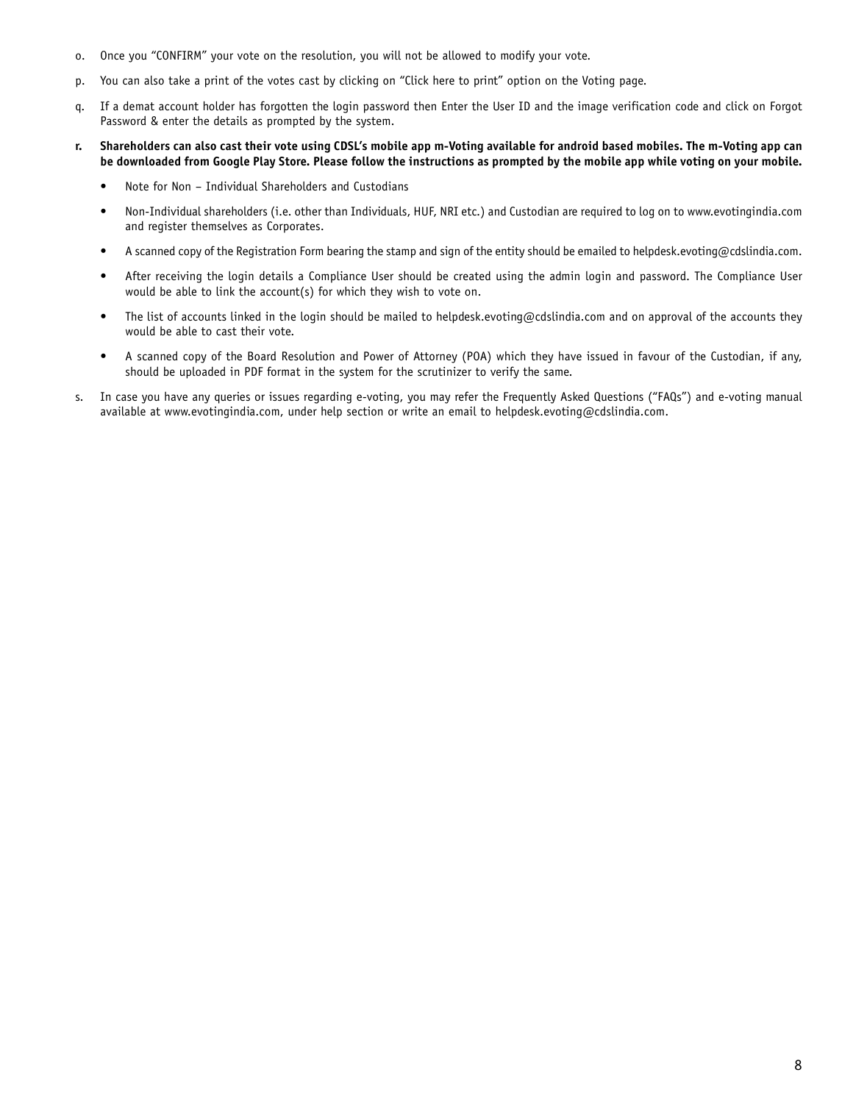- o. Once you "CONFIRM" your vote on the resolution, you will not be allowed to modify your vote.
- p. You can also take a print of the votes cast by clicking on "Click here to print" option on the Voting page.
- q. If a demat account holder has forgotten the login password then Enter the User ID and the image verification code and click on Forgot Password & enter the details as prompted by the system.
- **r. Shareholders can also cast their vote using CDSL's mobile app m-Voting available for android based mobiles. The m-Voting app can be downloaded from Google Play Store. Please follow the instructions as prompted by the mobile app while voting on your mobile.**
	- Note for Non Individual Shareholders and Custodians
	- Non-Individual shareholders (i.e. other than Individuals, HUF, NRI etc.) and Custodian are required to log on to www.evotingindia.com and register themselves as Corporates.
	- A scanned copy of the Registration Form bearing the stamp and sign of the entity should be emailed to helpdesk.evoting@cdslindia.com.
	- After receiving the login details a Compliance User should be created using the admin login and password. The Compliance User would be able to link the account(s) for which they wish to vote on.
	- The list of accounts linked in the login should be mailed to helpdesk.evoting@cdslindia.com and on approval of the accounts they would be able to cast their vote.
	- A scanned copy of the Board Resolution and Power of Attorney (POA) which they have issued in favour of the Custodian, if any, should be uploaded in PDF format in the system for the scrutinizer to verify the same.
- s. In case you have any queries or issues regarding e-voting, you may refer the Frequently Asked Questions ("FAQs") and e-voting manual available at www.evotingindia.com, under help section or write an email to helpdesk.evoting@cdslindia.com.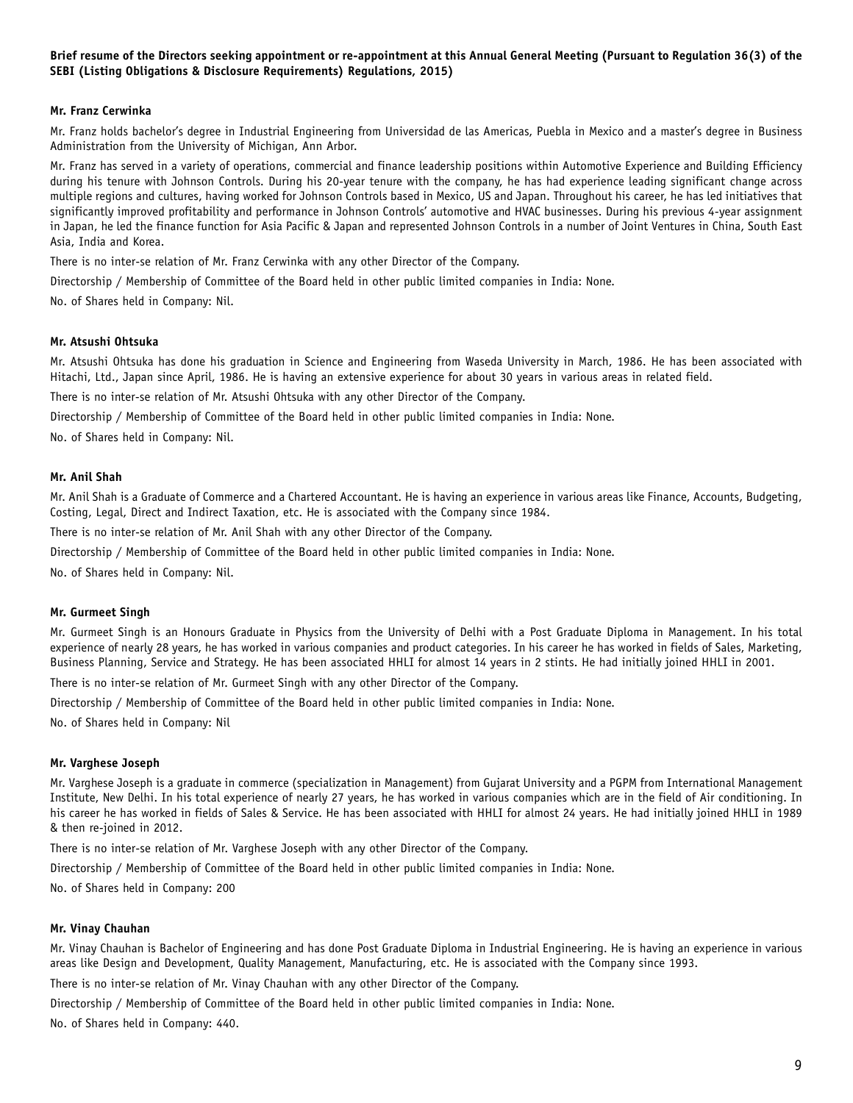#### **Brief resume of the Directors seeking appointment or re-appointment at this Annual General Meeting (Pursuant to Regulation 36(3) of the SEBI (Listing Obligations & Disclosure Requirements) Regulations, 2015)**

#### **Mr. Franz Cerwinka**

Mr. Franz holds bachelor's degree in Industrial Engineering from Universidad de las Americas, Puebla in Mexico and a master's degree in Business Administration from the University of Michigan, Ann Arbor.

Mr. Franz has served in a variety of operations, commercial and finance leadership positions within Automotive Experience and Building Efficiency during his tenure with Johnson Controls. During his 20-year tenure with the company, he has had experience leading significant change across multiple regions and cultures, having worked for Johnson Controls based in Mexico, US and Japan. Throughout his career, he has led initiatives that significantly improved profitability and performance in Johnson Controls' automotive and HVAC businesses. During his previous 4-year assignment in Japan, he led the finance function for Asia Pacific & Japan and represented Johnson Controls in a number of Joint Ventures in China, South East Asia, India and Korea.

There is no inter-se relation of Mr. Franz Cerwinka with any other Director of the Company.

Directorship / Membership of Committee of the Board held in other public limited companies in India: None.

No. of Shares held in Company: Nil.

#### **Mr. Atsushi Ohtsuka**

Mr. Atsushi Ohtsuka has done his graduation in Science and Engineering from Waseda University in March, 1986. He has been associated with Hitachi, Ltd., Japan since April, 1986. He is having an extensive experience for about 30 years in various areas in related field.

There is no inter-se relation of Mr. Atsushi Ohtsuka with any other Director of the Company.

Directorship / Membership of Committee of the Board held in other public limited companies in India: None.

No. of Shares held in Company: Nil.

#### **Mr. Anil Shah**

Mr. Anil Shah is a Graduate of Commerce and a Chartered Accountant. He is having an experience in various areas like Finance, Accounts, Budgeting, Costing, Legal, Direct and Indirect Taxation, etc. He is associated with the Company since 1984.

There is no inter-se relation of Mr. Anil Shah with any other Director of the Company.

Directorship / Membership of Committee of the Board held in other public limited companies in India: None.

No. of Shares held in Company: Nil.

#### **Mr. Gurmeet Singh**

Mr. Gurmeet Singh is an Honours Graduate in Physics from the University of Delhi with a Post Graduate Diploma in Management. In his total experience of nearly 28 years, he has worked in various companies and product categories. In his career he has worked in fields of Sales, Marketing, Business Planning, Service and Strategy. He has been associated HHLI for almost 14 years in 2 stints. He had initially joined HHLI in 2001.

There is no inter-se relation of Mr. Gurmeet Singh with any other Director of the Company.

Directorship / Membership of Committee of the Board held in other public limited companies in India: None.

No. of Shares held in Company: Nil

#### **Mr. Varghese Joseph**

Mr. Varghese Joseph is a graduate in commerce (specialization in Management) from Gujarat University and a PGPM from International Management Institute, New Delhi. In his total experience of nearly 27 years, he has worked in various companies which are in the field of Air conditioning. In his career he has worked in fields of Sales & Service. He has been associated with HHLI for almost 24 years. He had initially joined HHLI in 1989 & then re-joined in 2012.

There is no inter-se relation of Mr. Varghese Joseph with any other Director of the Company.

Directorship / Membership of Committee of the Board held in other public limited companies in India: None.

No. of Shares held in Company: 200

#### **Mr. Vinay Chauhan**

Mr. Vinay Chauhan is Bachelor of Engineering and has done Post Graduate Diploma in Industrial Engineering. He is having an experience in various areas like Design and Development, Quality Management, Manufacturing, etc. He is associated with the Company since 1993.

There is no inter-se relation of Mr. Vinay Chauhan with any other Director of the Company.

Directorship / Membership of Committee of the Board held in other public limited companies in India: None.

No. of Shares held in Company: 440.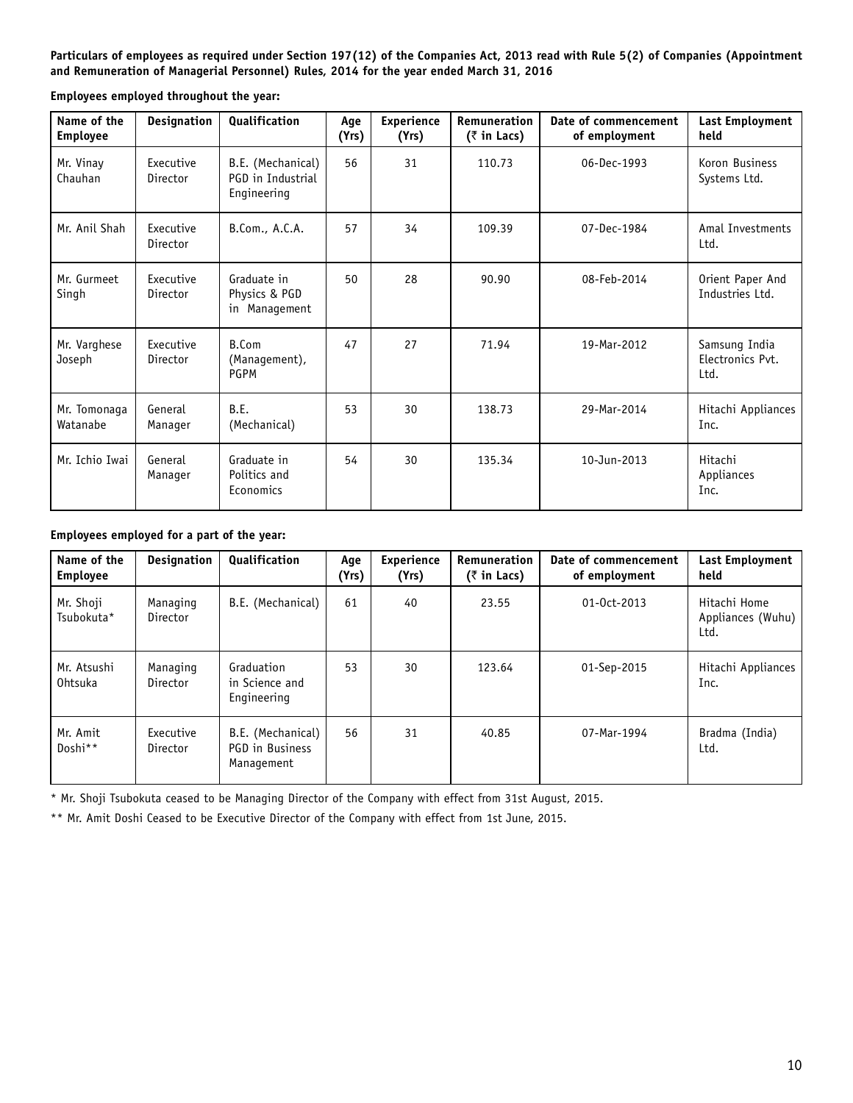**Particulars of employees as required under Section 197(12) of the Companies Act, 2013 read with Rule 5(2) of Companies (Appointment and Remuneration of Managerial Personnel) Rules, 2014 for the year ended March 31, 2016**

**Employees employed throughout the year:**

| Name of the<br><b>Employee</b> | <b>Designation</b>    | <b>Qualification</b>                                  | Age<br>(Yrs) | <b>Experience</b><br>(Yrs) | Remuneration<br>$($ ₹ in Lacs) | Date of commencement<br>of employment | Last Employment<br>held                   |
|--------------------------------|-----------------------|-------------------------------------------------------|--------------|----------------------------|--------------------------------|---------------------------------------|-------------------------------------------|
| Mr. Vinay<br>Chauhan           | Executive<br>Director | B.E. (Mechanical)<br>PGD in Industrial<br>Engineering | 56           | 31                         | 110.73                         | 06-Dec-1993                           | Koron Business<br>Systems Ltd.            |
| Mr. Anil Shah                  | Executive<br>Director | B.Com., A.C.A.                                        | 57           | 34                         | 109.39                         | 07-Dec-1984                           | Amal Investments<br>Ltd.                  |
| Mr. Gurmeet<br>Singh           | Executive<br>Director | Graduate in<br>Physics & PGD<br>in Management         | 50           | 28                         | 90.90                          | 08-Feb-2014                           | Orient Paper And<br>Industries Ltd.       |
| Mr. Varghese<br>Joseph         | Executive<br>Director | B.Com<br>(Management),<br><b>PGPM</b>                 | 47           | 27                         | 71.94                          | 19-Mar-2012                           | Samsung India<br>Electronics Pvt.<br>Ltd. |
| Mr. Tomonaga<br>Watanabe       | General<br>Manager    | <b>B.E.</b><br>(Mechanical)                           | 53           | 30                         | 138.73                         | 29-Mar-2014                           | Hitachi Appliances<br>Inc.                |
| Mr. Ichio Iwai                 | General<br>Manager    | Graduate in<br>Politics and<br>Economics              | 54           | 30                         | 135.34                         | 10-Jun-2013                           | Hitachi<br>Appliances<br>Inc.             |

## **Employees employed for a part of the year:**

| Name of the<br>Employee | <b>Designation</b>    | <b>Qualification</b>                               | Age<br>(Yrs) | <b>Experience</b><br>(Yrs) | Remuneration<br>$($ ₹ in Lacs) | Date of commencement<br>of employment | Last Employment<br>held                   |
|-------------------------|-----------------------|----------------------------------------------------|--------------|----------------------------|--------------------------------|---------------------------------------|-------------------------------------------|
| Mr. Shoji<br>Tsubokuta* | Managing<br>Director  | B.E. (Mechanical)                                  | 61           | 40                         | 23.55                          | 01-0ct-2013                           | Hitachi Home<br>Appliances (Wuhu)<br>Ltd. |
| Mr. Atsushi<br>Ohtsuka  | Managing<br>Director  | Graduation<br>in Science and<br>Engineering        | 53           | 30                         | 123.64                         | 01-Sep-2015                           | Hitachi Appliances<br>Inc.                |
| Mr. Amit<br>Doshi**     | Executive<br>Director | B.E. (Mechanical)<br>PGD in Business<br>Management | 56           | 31                         | 40.85                          | 07-Mar-1994                           | Bradma (India)<br>Ltd.                    |

\* Mr. Shoji Tsubokuta ceased to be Managing Director of the Company with effect from 31st August, 2015.

\*\* Mr. Amit Doshi Ceased to be Executive Director of the Company with effect from 1st June, 2015.